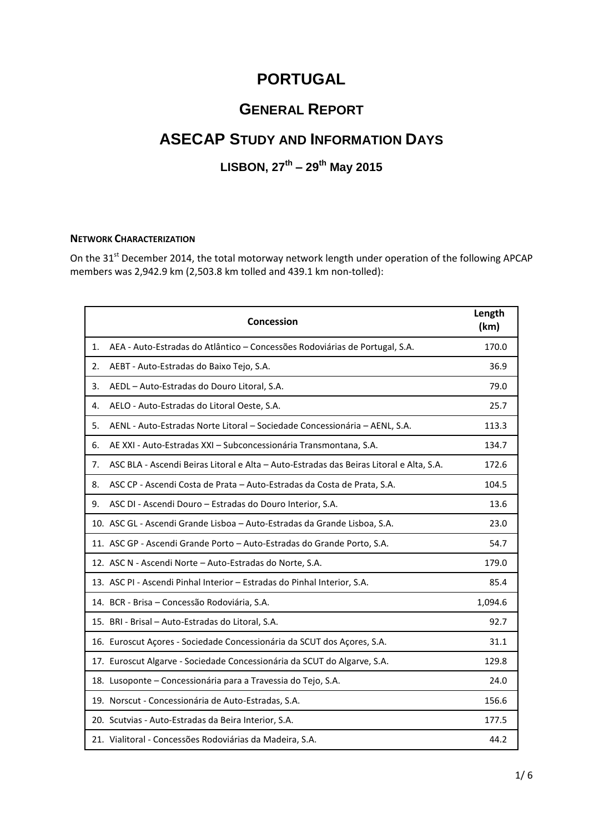# **PORTUGAL**

# **GENERAL REPORT**

# **ASECAP STUDY AND INFORMATION DAYS**

# **LISBON, 27 th – 29 th May 2015**

#### **NETWORK CHARACTERIZATION**

On the 31<sup>st</sup> December 2014, the total motorway network length under operation of the following APCAP members was 2,942.9 km (2,503.8 km tolled and 439.1 km non-tolled):

|    | Concession                                                                              | Length<br>(km) |
|----|-----------------------------------------------------------------------------------------|----------------|
| 1. | AEA - Auto-Estradas do Atlântico - Concessões Rodoviárias de Portugal, S.A.             | 170.0          |
| 2. | AEBT - Auto-Estradas do Baixo Tejo, S.A.                                                | 36.9           |
| 3. | AEDL - Auto-Estradas do Douro Litoral, S.A.                                             | 79.0           |
| 4. | AELO - Auto-Estradas do Litoral Oeste, S.A.                                             | 25.7           |
| 5. | AENL - Auto-Estradas Norte Litoral - Sociedade Concessionária - AENL, S.A.              | 113.3          |
| 6. | AE XXI - Auto-Estradas XXI - Subconcessionária Transmontana, S.A.                       | 134.7          |
| 7. | ASC BLA - Ascendi Beiras Litoral e Alta - Auto-Estradas das Beiras Litoral e Alta, S.A. | 172.6          |
| 8. | ASC CP - Ascendi Costa de Prata - Auto-Estradas da Costa de Prata, S.A.                 | 104.5          |
| 9. | ASC DI - Ascendi Douro - Estradas do Douro Interior, S.A.                               | 13.6           |
|    | 10. ASC GL - Ascendi Grande Lisboa - Auto-Estradas da Grande Lisboa, S.A.               | 23.0           |
|    | 11. ASC GP - Ascendi Grande Porto - Auto-Estradas do Grande Porto, S.A.                 | 54.7           |
|    | 12. ASC N - Ascendi Norte - Auto-Estradas do Norte, S.A.                                | 179.0          |
|    | 13. ASC PI - Ascendi Pinhal Interior - Estradas do Pinhal Interior, S.A.                | 85.4           |
|    | 14. BCR - Brisa - Concessão Rodoviária, S.A.                                            | 1,094.6        |
|    | 15. BRI - Brisal - Auto-Estradas do Litoral, S.A.                                       | 92.7           |
|    | 16. Euroscut Açores - Sociedade Concessionária da SCUT dos Açores, S.A.                 | 31.1           |
|    | 17. Euroscut Algarve - Sociedade Concessionária da SCUT do Algarve, S.A.                | 129.8          |
|    | 18. Lusoponte - Concessionária para a Travessia do Tejo, S.A.                           | 24.0           |
|    | 19. Norscut - Concessionária de Auto-Estradas, S.A.                                     | 156.6          |
|    | 20. Scutvias - Auto-Estradas da Beira Interior, S.A.                                    | 177.5          |
|    | 21. Vialitoral - Concessões Rodoviárias da Madeira, S.A.                                | 44.2           |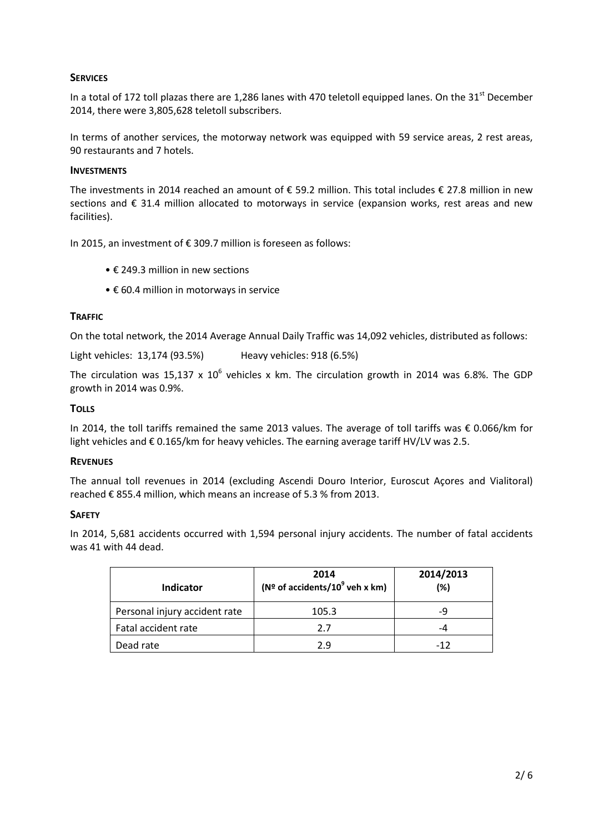## **SERVICES**

In a total of 172 toll plazas there are 1,286 lanes with 470 teletoll equipped lanes. On the 31<sup>st</sup> December 2014, there were 3,805,628 teletoll subscribers.

In terms of another services, the motorway network was equipped with 59 service areas, 2 rest areas, 90 restaurants and 7 hotels.

#### **INVESTMENTS**

The investments in 2014 reached an amount of € 59.2 million. This total includes € 27.8 million in new sections and € 31.4 million allocated to motorways in service (expansion works, rest areas and new facilities).

In 2015, an investment of € 309.7 million is foreseen as follows:

- € 249.3 million in new sections
- € 60.4 million in motorways in service

#### **TRAFFIC**

On the total network, the 2014 Average Annual Daily Traffic was 14,092 vehicles, distributed as follows:

Light vehicles: 13,174 (93.5%) Heavy vehicles: 918 (6.5%)

The circulation was 15,137 x  $10^6$  vehicles x km. The circulation growth in 2014 was 6.8%. The GDP growth in 2014 was 0.9%.

#### **TOLLS**

In 2014, the toll tariffs remained the same 2013 values. The average of toll tariffs was € 0.066/km for light vehicles and € 0.165/km for heavy vehicles. The earning average tariff HV/LV was 2.5.

#### **REVENUES**

The annual toll revenues in 2014 (excluding Ascendi Douro Interior, Euroscut Açores and Vialitoral) reached € 855.4 million, which means an increase of 5.3 % from 2013.

#### **SAFETY**

In 2014, 5,681 accidents occurred with 1,594 personal injury accidents. The number of fatal accidents was 41 with 44 dead.

| Indicator                     | 2014<br>( $N^{\circ}$ of accidents/10 <sup>9</sup> veh x km) | 2014/2013<br>(%) |
|-------------------------------|--------------------------------------------------------------|------------------|
| Personal injury accident rate | 105.3                                                        | -q               |
| Fatal accident rate           | 2.7                                                          | -4               |
| Dead rate                     | ን ዓ                                                          | -12              |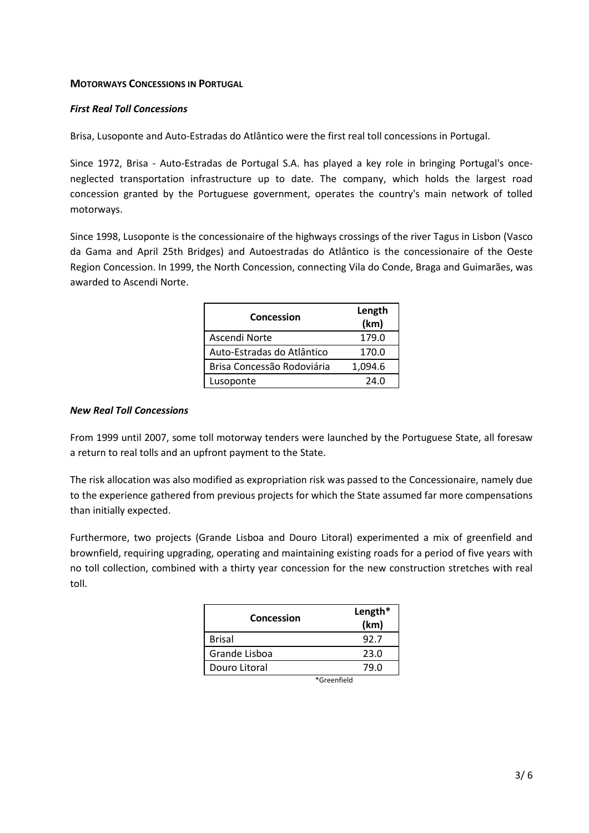### **MOTORWAYS CONCESSIONS IN PORTUGAL**

### *First Real Toll Concessions*

Brisa, Lusoponte and Auto-Estradas do Atlântico were the first real toll concessions in Portugal.

Since 1972, Brisa - Auto-Estradas de Portugal S.A. has played a key role in bringing Portugal's onceneglected transportation infrastructure up to date. The company, which holds the largest road concession granted by the Portuguese government, operates the country's main network of tolled motorways.

Since 1998, Lusoponte is the concessionaire of the highways crossings of the river Tagus in Lisbon (Vasco da Gama and April 25th Bridges) and Autoestradas do Atlântico is the concessionaire of the Oeste Region Concession. In 1999, the North Concession, connecting Vila do Conde, Braga and Guimarães, was awarded to Ascendi Norte.

| Concession                 | Length<br>(km) |
|----------------------------|----------------|
| Ascendi Norte              | 179.0          |
| Auto-Estradas do Atlântico | 170.0          |
| Brisa Concessão Rodoviária | 1,094.6        |
| Lusoponte                  | 24.O           |

## *New Real Toll Concessions*

From 1999 until 2007, some toll motorway tenders were launched by the Portuguese State, all foresaw a return to real tolls and an upfront payment to the State.

The risk allocation was also modified as expropriation risk was passed to the Concessionaire, namely due to the experience gathered from previous projects for which the State assumed far more compensations than initially expected.

Furthermore, two projects (Grande Lisboa and Douro Litoral) experimented a mix of greenfield and brownfield, requiring upgrading, operating and maintaining existing roads for a period of five years with no toll collection, combined with a thirty year concession for the new construction stretches with real toll.

| Concession    | Length*<br>(km) |
|---------------|-----------------|
| <b>Brisal</b> | 92.7            |
| Grande Lisboa | 23.0            |
| Douro Litoral | 79 N            |

\*Greenfield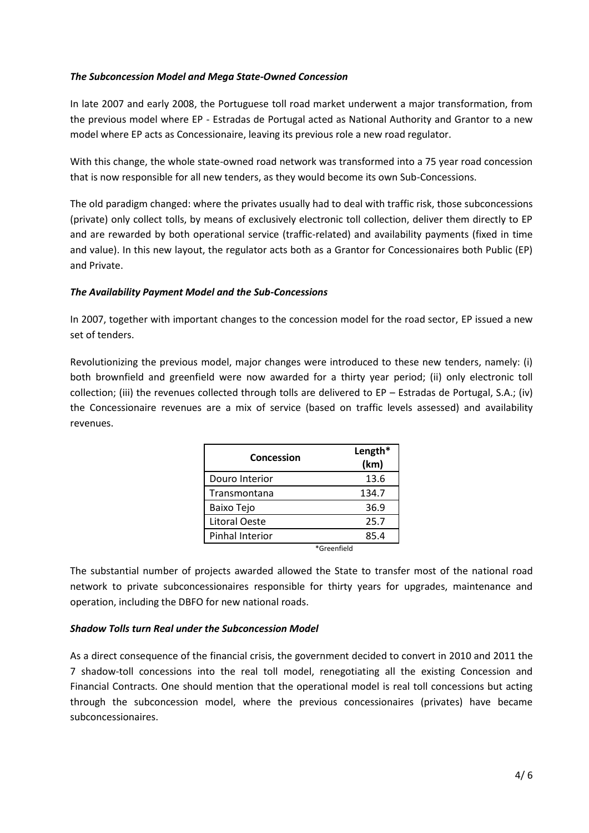## *The Subconcession Model and Mega State-Owned Concession*

In late 2007 and early 2008, the Portuguese toll road market underwent a major transformation, from the previous model where EP - Estradas de Portugal acted as National Authority and Grantor to a new model where EP acts as Concessionaire, leaving its previous role a new road regulator.

With this change, the whole state-owned road network was transformed into a 75 year road concession that is now responsible for all new tenders, as they would become its own Sub-Concessions.

The old paradigm changed: where the privates usually had to deal with traffic risk, those subconcessions (private) only collect tolls, by means of exclusively electronic toll collection, deliver them directly to EP and are rewarded by both operational service (traffic-related) and availability payments (fixed in time and value). In this new layout, the regulator acts both as a Grantor for Concessionaires both Public (EP) and Private.

## *The Availability Payment Model and the Sub-Concessions*

In 2007, together with important changes to the concession model for the road sector, EP issued a new set of tenders.

Revolutionizing the previous model, major changes were introduced to these new tenders, namely: (i) both brownfield and greenfield were now awarded for a thirty year period; (ii) only electronic toll collection; (iii) the revenues collected through tolls are delivered to EP – Estradas de Portugal, S.A.; (iv) the Concessionaire revenues are a mix of service (based on traffic levels assessed) and availability revenues.

| Concession           | Length*<br>(km) |  |
|----------------------|-----------------|--|
| Douro Interior       | 13.6            |  |
| Transmontana         | 134.7           |  |
| Baixo Tejo           | 36.9            |  |
| <b>Litoral Oeste</b> | 25.7            |  |
| Pinhal Interior      | 85.4            |  |
|                      | *Greenfield     |  |

The substantial number of projects awarded allowed the State to transfer most of the national road network to private subconcessionaires responsible for thirty years for upgrades, maintenance and operation, including the DBFO for new national roads.

#### *Shadow Tolls turn Real under the Subconcession Model*

As a direct consequence of the financial crisis, the government decided to convert in 2010 and 2011 the 7 shadow-toll concessions into the real toll model, renegotiating all the existing Concession and Financial Contracts. One should mention that the operational model is real toll concessions but acting through the subconcession model, where the previous concessionaires (privates) have became subconcessionaires.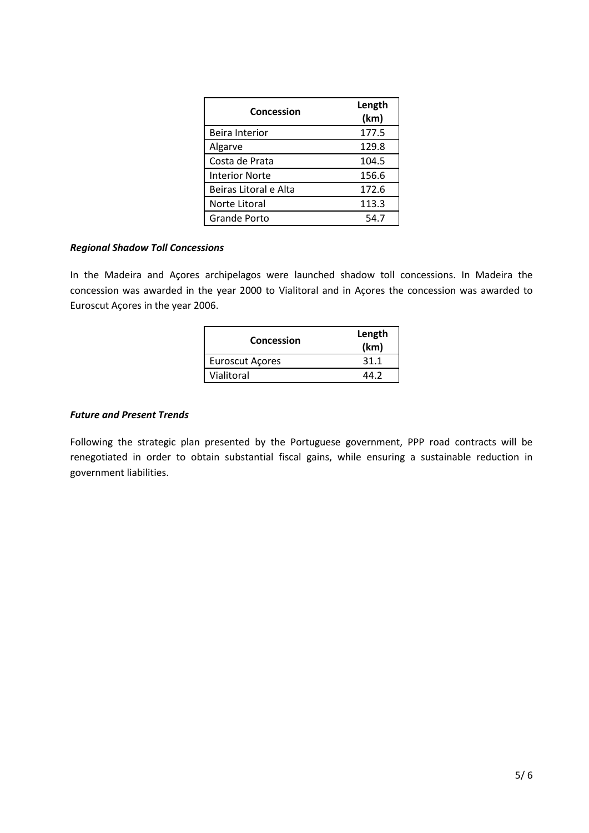| Concession            | Length<br>(km) |
|-----------------------|----------------|
| <b>Beira Interior</b> | 177.5          |
| Algarve               | 129.8          |
| Costa de Prata        | 104.5          |
| <b>Interior Norte</b> | 156.6          |
| Beiras Litoral e Alta | 172.6          |
| Norte Litoral         | 113.3          |
| <b>Grande Porto</b>   | 54.7           |

#### *Regional Shadow Toll Concessions*

In the Madeira and Açores archipelagos were launched shadow toll concessions. In Madeira the concession was awarded in the year 2000 to Vialitoral and in Açores the concession was awarded to Euroscut Açores in the year 2006.

| Concession             | Length<br>(km) |
|------------------------|----------------|
| <b>Euroscut Açores</b> | 31.1           |
| Vialitoral             | 11 J           |

# *Future and Present Trends*

Following the strategic plan presented by the Portuguese government, PPP road contracts will be renegotiated in order to obtain substantial fiscal gains, while ensuring a sustainable reduction in government liabilities.